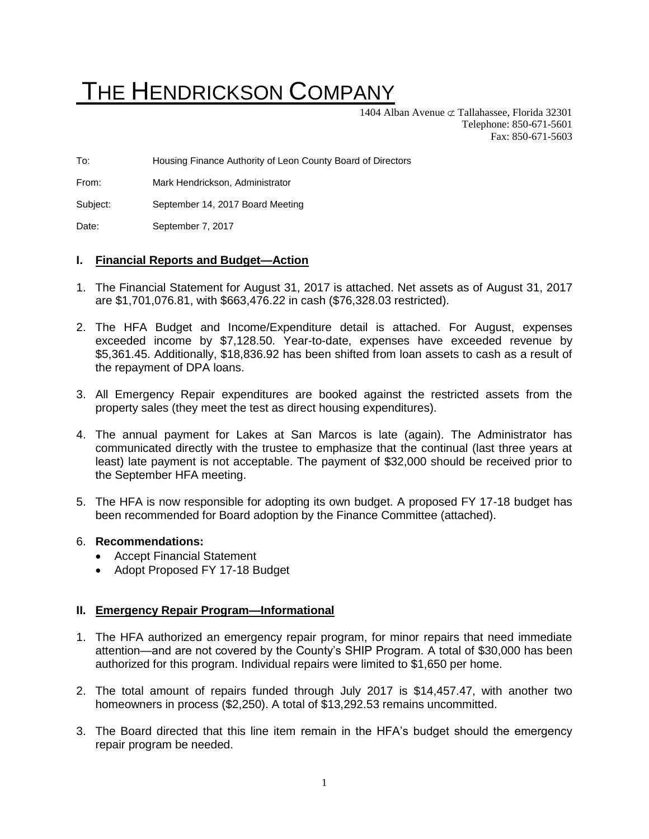# THE HENDRICKSON COMPANY

1404 Alban Avenue  $\subset \mathcal{I}$  Tallahassee, Florida 32301 Telephone: 850-671-5601 Fax: 850-671-5603

To: Housing Finance Authority of Leon County Board of Directors

From: Mark Hendrickson, Administrator

Subject: September 14, 2017 Board Meeting

Date: September 7, 2017

#### **I. Financial Reports and Budget—Action**

- 1. The Financial Statement for August 31, 2017 is attached. Net assets as of August 31, 2017 are \$1,701,076.81, with \$663,476.22 in cash (\$76,328.03 restricted).
- 2. The HFA Budget and Income/Expenditure detail is attached. For August, expenses exceeded income by \$7,128.50. Year-to-date, expenses have exceeded revenue by \$5,361.45. Additionally, \$18,836.92 has been shifted from loan assets to cash as a result of the repayment of DPA loans.
- 3. All Emergency Repair expenditures are booked against the restricted assets from the property sales (they meet the test as direct housing expenditures).
- 4. The annual payment for Lakes at San Marcos is late (again). The Administrator has communicated directly with the trustee to emphasize that the continual (last three years at least) late payment is not acceptable. The payment of \$32,000 should be received prior to the September HFA meeting.
- 5. The HFA is now responsible for adopting its own budget. A proposed FY 17-18 budget has been recommended for Board adoption by the Finance Committee (attached).

#### 6. **Recommendations:**

- Accept Financial Statement
- Adopt Proposed FY 17-18 Budget

#### **II. Emergency Repair Program—Informational**

- 1. The HFA authorized an emergency repair program, for minor repairs that need immediate attention—and are not covered by the County's SHIP Program. A total of \$30,000 has been authorized for this program. Individual repairs were limited to \$1,650 per home.
- 2. The total amount of repairs funded through July 2017 is \$14,457.47, with another two homeowners in process (\$2,250). A total of \$13,292.53 remains uncommitted.
- 3. The Board directed that this line item remain in the HFA's budget should the emergency repair program be needed.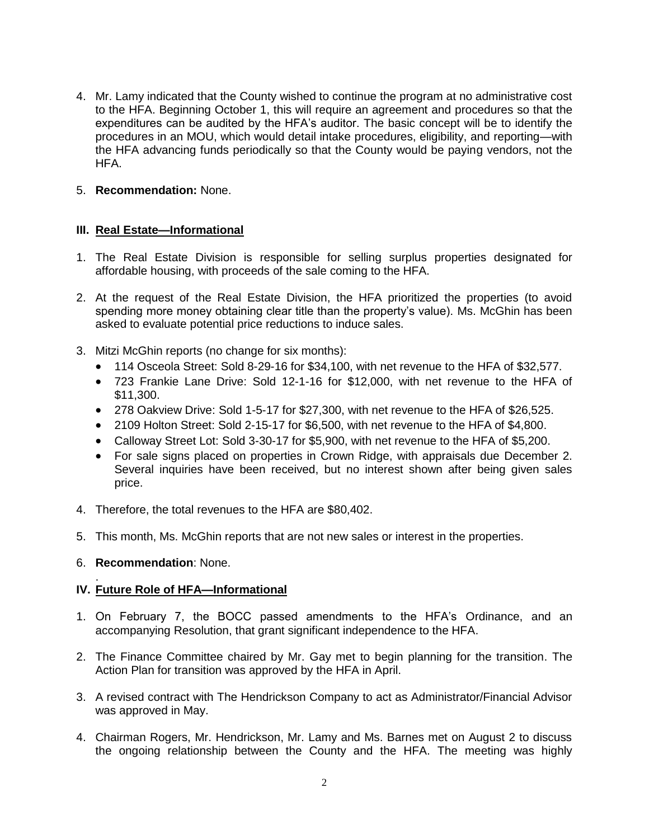4. Mr. Lamy indicated that the County wished to continue the program at no administrative cost to the HFA. Beginning October 1, this will require an agreement and procedures so that the expenditures can be audited by the HFA's auditor. The basic concept will be to identify the procedures in an MOU, which would detail intake procedures, eligibility, and reporting—with the HFA advancing funds periodically so that the County would be paying vendors, not the HFA.

# 5. **Recommendation:** None.

# **III. Real Estate—Informational**

- 1. The Real Estate Division is responsible for selling surplus properties designated for affordable housing, with proceeds of the sale coming to the HFA.
- 2. At the request of the Real Estate Division, the HFA prioritized the properties (to avoid spending more money obtaining clear title than the property's value). Ms. McGhin has been asked to evaluate potential price reductions to induce sales.
- 3. Mitzi McGhin reports (no change for six months):
	- 114 Osceola Street: Sold 8-29-16 for \$34,100, with net revenue to the HFA of \$32,577.
	- 723 Frankie Lane Drive: Sold 12-1-16 for \$12,000, with net revenue to the HFA of \$11,300.
	- 278 Oakview Drive: Sold 1-5-17 for \$27,300, with net revenue to the HFA of \$26,525.
	- 2109 Holton Street: Sold 2-15-17 for \$6,500, with net revenue to the HFA of \$4,800.
	- Calloway Street Lot: Sold 3-30-17 for \$5,900, with net revenue to the HFA of \$5,200.
	- For sale signs placed on properties in Crown Ridge, with appraisals due December 2. Several inquiries have been received, but no interest shown after being given sales price.
- 4. Therefore, the total revenues to the HFA are \$80,402.
- 5. This month, Ms. McGhin reports that are not new sales or interest in the properties.
- 6. **Recommendation**: None.

#### . **IV. Future Role of HFA—Informational**

- 1. On February 7, the BOCC passed amendments to the HFA's Ordinance, and an accompanying Resolution, that grant significant independence to the HFA.
- 2. The Finance Committee chaired by Mr. Gay met to begin planning for the transition. The Action Plan for transition was approved by the HFA in April.
- 3. A revised contract with The Hendrickson Company to act as Administrator/Financial Advisor was approved in May.
- 4. Chairman Rogers, Mr. Hendrickson, Mr. Lamy and Ms. Barnes met on August 2 to discuss the ongoing relationship between the County and the HFA. The meeting was highly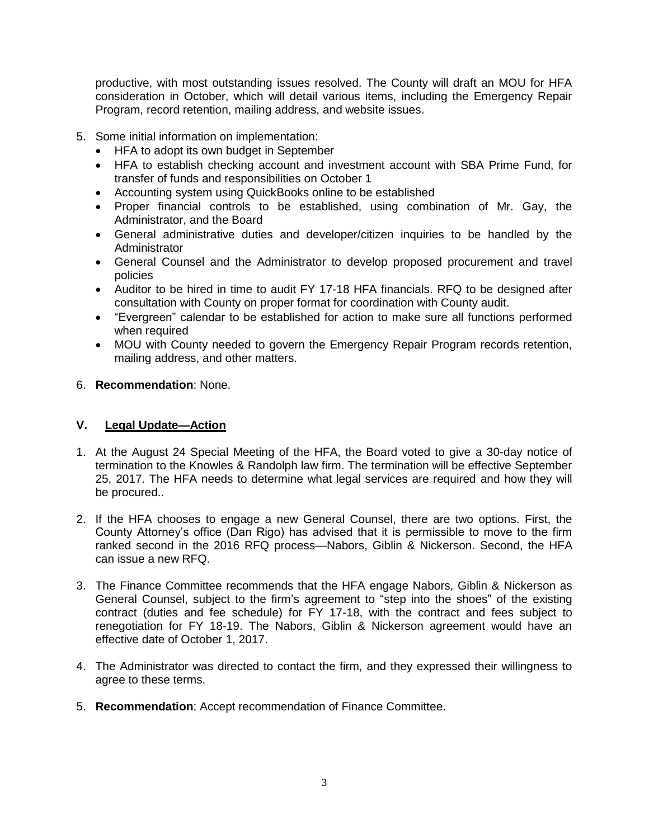productive, with most outstanding issues resolved. The County will draft an MOU for HFA consideration in October, which will detail various items, including the Emergency Repair Program, record retention, mailing address, and website issues.

- 5. Some initial information on implementation:
	- HFA to adopt its own budget in September
	- HFA to establish checking account and investment account with SBA Prime Fund, for transfer of funds and responsibilities on October 1
	- Accounting system using QuickBooks online to be established
	- Proper financial controls to be established, using combination of Mr. Gay, the Administrator, and the Board
	- General administrative duties and developer/citizen inquiries to be handled by the Administrator
	- General Counsel and the Administrator to develop proposed procurement and travel policies
	- Auditor to be hired in time to audit FY 17-18 HFA financials. RFQ to be designed after consultation with County on proper format for coordination with County audit.
	- "Evergreen" calendar to be established for action to make sure all functions performed when required
	- MOU with County needed to govern the Emergency Repair Program records retention, mailing address, and other matters.
- 6. **Recommendation**: None.

# **V. Legal Update—Action**

- 1. At the August 24 Special Meeting of the HFA, the Board voted to give a 30-day notice of termination to the Knowles & Randolph law firm. The termination will be effective September 25, 2017. The HFA needs to determine what legal services are required and how they will be procured..
- 2. If the HFA chooses to engage a new General Counsel, there are two options. First, the County Attorney's office (Dan Rigo) has advised that it is permissible to move to the firm ranked second in the 2016 RFQ process—Nabors, Giblin & Nickerson. Second, the HFA can issue a new RFQ.
- 3. The Finance Committee recommends that the HFA engage Nabors, Giblin & Nickerson as General Counsel, subject to the firm's agreement to "step into the shoes" of the existing contract (duties and fee schedule) for FY 17-18, with the contract and fees subject to renegotiation for FY 18-19. The Nabors, Giblin & Nickerson agreement would have an effective date of October 1, 2017.
- 4. The Administrator was directed to contact the firm, and they expressed their willingness to agree to these terms.
- 5. **Recommendation**: Accept recommendation of Finance Committee.